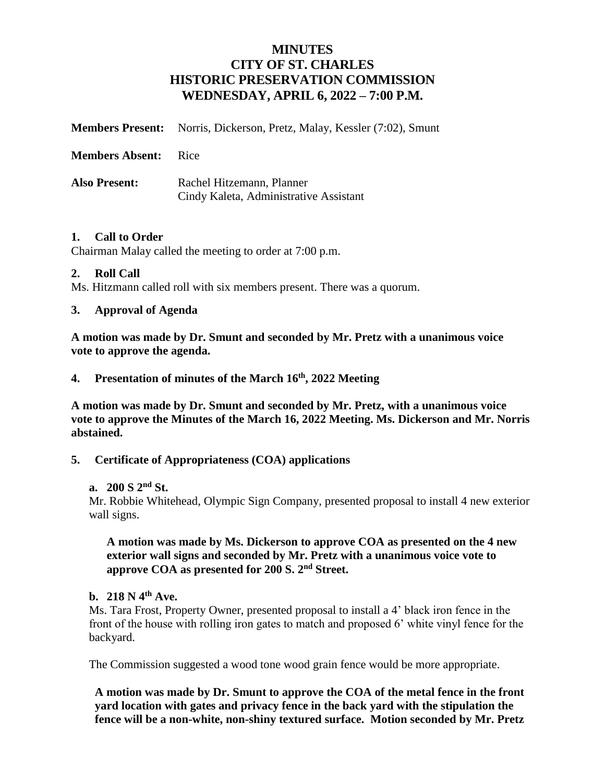# **MINUTES CITY OF ST. CHARLES HISTORIC PRESERVATION COMMISSION WEDNESDAY, APRIL 6, 2022 – 7:00 P.M.**

|                        | <b>Members Present:</b> Norris, Dickerson, Pretz, Malay, Kessler (7:02), Smunt |
|------------------------|--------------------------------------------------------------------------------|
| <b>Members Absent:</b> | - Rice                                                                         |
| <b>Also Present:</b>   | Rachel Hitzemann, Planner<br>Cindy Kaleta, Administrative Assistant            |

#### **1. Call to Order**

Chairman Malay called the meeting to order at 7:00 p.m.

#### **2. Roll Call**

Ms. Hitzmann called roll with six members present. There was a quorum.

#### **3. Approval of Agenda**

**A motion was made by Dr. Smunt and seconded by Mr. Pretz with a unanimous voice vote to approve the agenda.**

### **4. Presentation of minutes of the March 16th, 2022 Meeting**

**A motion was made by Dr. Smunt and seconded by Mr. Pretz, with a unanimous voice vote to approve the Minutes of the March 16, 2022 Meeting. Ms. Dickerson and Mr. Norris abstained.**

### **5. Certificate of Appropriateness (COA) applications**

#### **a. 200 S 2nd St.**

Mr. Robbie Whitehead, Olympic Sign Company, presented proposal to install 4 new exterior wall signs.

#### **A motion was made by Ms. Dickerson to approve COA as presented on the 4 new exterior wall signs and seconded by Mr. Pretz with a unanimous voice vote to approve COA as presented for 200 S. 2nd Street.**

#### **b. 218 N 4th Ave.**

Ms. Tara Frost, Property Owner, presented proposal to install a 4' black iron fence in the front of the house with rolling iron gates to match and proposed 6' white vinyl fence for the backyard.

The Commission suggested a wood tone wood grain fence would be more appropriate.

**A motion was made by Dr. Smunt to approve the COA of the metal fence in the front yard location with gates and privacy fence in the back yard with the stipulation the fence will be a non-white, non-shiny textured surface. Motion seconded by Mr. Pretz**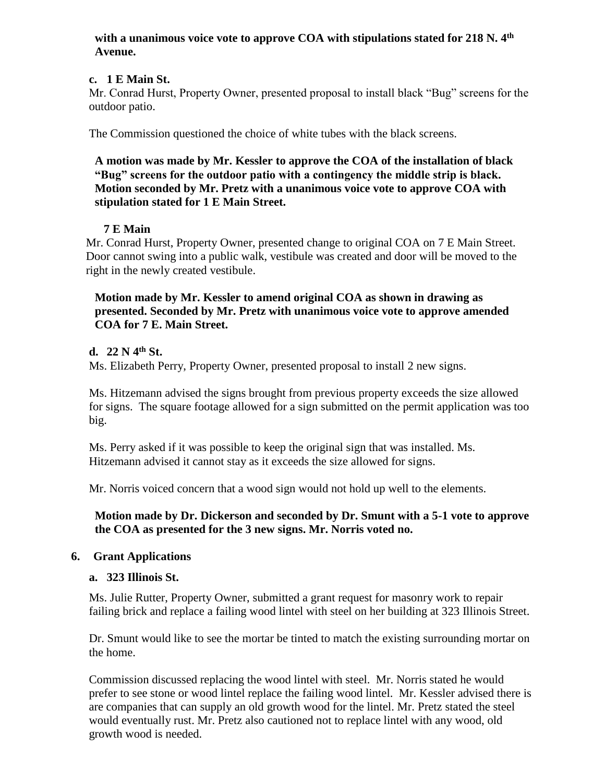#### **with a unanimous voice vote to approve COA with stipulations stated for 218 N. 4th Avenue.**

## **c. 1 E Main St.**

Mr. Conrad Hurst, Property Owner, presented proposal to install black "Bug" screens for the outdoor patio.

The Commission questioned the choice of white tubes with the black screens.

**A motion was made by Mr. Kessler to approve the COA of the installation of black "Bug" screens for the outdoor patio with a contingency the middle strip is black. Motion seconded by Mr. Pretz with a unanimous voice vote to approve COA with stipulation stated for 1 E Main Street.**

# **7 E Main**

Mr. Conrad Hurst, Property Owner, presented change to original COA on 7 E Main Street. Door cannot swing into a public walk, vestibule was created and door will be moved to the right in the newly created vestibule.

### **Motion made by Mr. Kessler to amend original COA as shown in drawing as presented. Seconded by Mr. Pretz with unanimous voice vote to approve amended COA for 7 E. Main Street.**

# **d. 22 N 4th St.**

Ms. Elizabeth Perry, Property Owner, presented proposal to install 2 new signs.

 Ms. Hitzemann advised the signs brought from previous property exceeds the size allowed for signs. The square footage allowed for a sign submitted on the permit application was too big.

 Ms. Perry asked if it was possible to keep the original sign that was installed. Ms. Hitzemann advised it cannot stay as it exceeds the size allowed for signs.

Mr. Norris voiced concern that a wood sign would not hold up well to the elements.

**Motion made by Dr. Dickerson and seconded by Dr. Smunt with a 5-1 vote to approve the COA as presented for the 3 new signs. Mr. Norris voted no.**

### **6. Grant Applications**

### **a. 323 Illinois St.**

Ms. Julie Rutter, Property Owner, submitted a grant request for masonry work to repair failing brick and replace a failing wood lintel with steel on her building at 323 Illinois Street.

Dr. Smunt would like to see the mortar be tinted to match the existing surrounding mortar on the home.

Commission discussed replacing the wood lintel with steel. Mr. Norris stated he would prefer to see stone or wood lintel replace the failing wood lintel. Mr. Kessler advised there is are companies that can supply an old growth wood for the lintel. Mr. Pretz stated the steel would eventually rust. Mr. Pretz also cautioned not to replace lintel with any wood, old growth wood is needed.